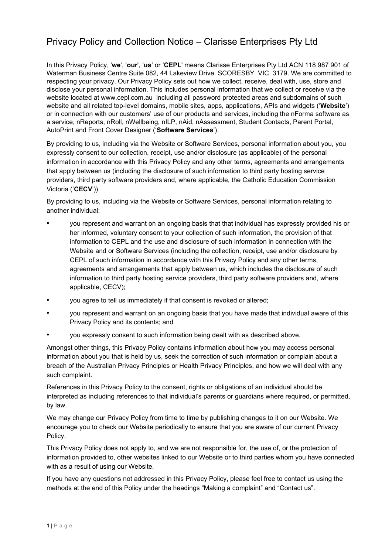# Privacy Policy and Collection Notice – Clarisse Enterprises Pty Ltd

In this Privacy Policy, '**we**', '**our**', '**us**' or '**CEPL**' means Clarisse Enterprises Pty Ltd ACN 118 987 901 of Waterman Business Centre Suite 082, 44 Lakeview Drive. SCORESBY VIC 3179. We are committed to respecting your privacy. Our Privacy Policy sets out how we collect, receive, deal with, use, store and disclose your personal information. This includes personal information that we collect or receive via the website located at www.cepl.com.au including all password protected areas and subdomains of such website and all related top-level domains, mobile sites, apps, applications, APIs and widgets ('**Website**') or in connection with our customers' use of our products and services, including the nForma software as a service, nReports, nRoll, nWellbeing, nILP, nAid, nAssessment, Student Contacts, Parent Portal, AutoPrint and Front Cover Designer ('**Software Services**').

By providing to us, including via the Website or Software Services, personal information about you, you expressly consent to our collection, receipt, use and/or disclosure (as applicable) of the personal information in accordance with this Privacy Policy and any other terms, agreements and arrangements that apply between us (including the disclosure of such information to third party hosting service providers, third party software providers and, where applicable, the Catholic Education Commission Victoria ('**CECV**')).

By providing to us, including via the Website or Software Services, personal information relating to another individual:

- you represent and warrant on an ongoing basis that that individual has expressly provided his or her informed, voluntary consent to your collection of such information, the provision of that information to CEPL and the use and disclosure of such information in connection with the Website and or Software Services (including the collection, receipt, use and/or disclosure by CEPL of such information in accordance with this Privacy Policy and any other terms, agreements and arrangements that apply between us, which includes the disclosure of such information to third party hosting service providers, third party software providers and, where applicable, CECV);
- you agree to tell us immediately if that consent is revoked or altered;
- you represent and warrant on an ongoing basis that you have made that individual aware of this Privacy Policy and its contents; and
- you expressly consent to such information being dealt with as described above.

Amongst other things, this Privacy Policy contains information about how you may access personal information about you that is held by us, seek the correction of such information or complain about a breach of the Australian Privacy Principles or Health Privacy Principles, and how we will deal with any such complaint.

References in this Privacy Policy to the consent, rights or obligations of an individual should be interpreted as including references to that individual's parents or guardians where required, or permitted, by law.

We may change our Privacy Policy from time to time by publishing changes to it on our Website. We encourage you to check our Website periodically to ensure that you are aware of our current Privacy Policy.

This Privacy Policy does not apply to, and we are not responsible for, the use of, or the protection of information provided to, other websites linked to our Website or to third parties whom you have connected with as a result of using our Website.

If you have any questions not addressed in this Privacy Policy, please feel free to contact us using the methods at the end of this Policy under the headings "Making a complaint" and "Contact us".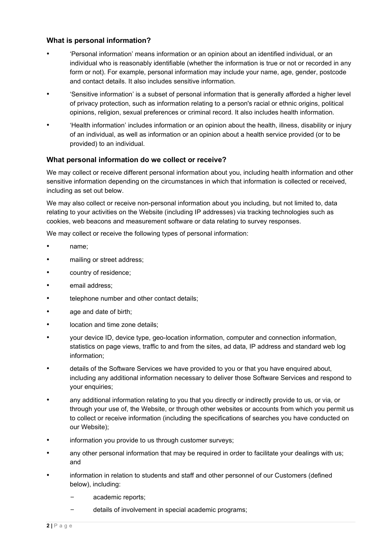# **What is personal information?**

- 'Personal information' means information or an opinion about an identified individual, or an individual who is reasonably identifiable (whether the information is true or not or recorded in any form or not). For example, personal information may include your name, age, gender, postcode and contact details. It also includes sensitive information.
- 'Sensitive information' is a subset of personal information that is generally afforded a higher level of privacy protection, such as information relating to a person's racial or ethnic origins, political opinions, religion, sexual preferences or criminal record. It also includes health information.
- 'Health information' includes information or an opinion about the health, illness, disability or injury of an individual, as well as information or an opinion about a health service provided (or to be provided) to an individual.

#### **What personal information do we collect or receive?**

We may collect or receive different personal information about you, including health information and other sensitive information depending on the circumstances in which that information is collected or received, including as set out below.

We may also collect or receive non-personal information about you including, but not limited to, data relating to your activities on the Website (including IP addresses) via tracking technologies such as cookies, web beacons and measurement software or data relating to survey responses.

We may collect or receive the following types of personal information:

- name;
- mailing or street address;
- country of residence:
- email address;
- telephone number and other contact details;
- age and date of birth;
- location and time zone details;
- your device ID, device type, geo-location information, computer and connection information, statistics on page views, traffic to and from the sites, ad data, IP address and standard web log information;
- details of the Software Services we have provided to you or that you have enquired about, including any additional information necessary to deliver those Software Services and respond to your enquiries;
- any additional information relating to you that you directly or indirectly provide to us, or via, or through your use of, the Website, or through other websites or accounts from which you permit us to collect or receive information (including the specifications of searches you have conducted on our Website);
- information you provide to us through customer surveys;
- any other personal information that may be required in order to facilitate your dealings with us; and
- information in relation to students and staff and other personnel of our Customers (defined below), including:
	- academic reports:
	- details of involvement in special academic programs;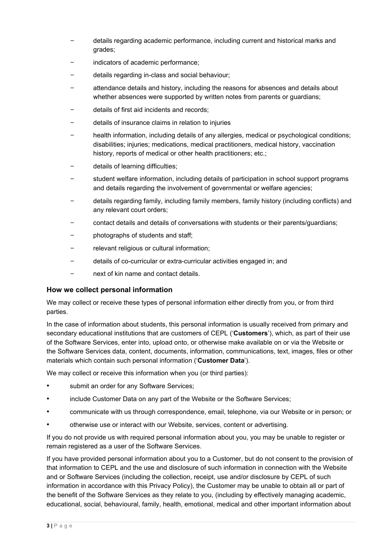- details regarding academic performance, including current and historical marks and grades;
- indicators of academic performance;
- details regarding in-class and social behaviour;
- attendance details and history, including the reasons for absences and details about whether absences were supported by written notes from parents or guardians;
- details of first aid incidents and records;
- details of insurance claims in relation to injuries
- health information, including details of any allergies, medical or psychological conditions; disabilities; injuries; medications, medical practitioners, medical history, vaccination history, reports of medical or other health practitioners; etc.;
- details of learning difficulties;
- student welfare information, including details of participation in school support programs and details regarding the involvement of governmental or welfare agencies;
- details regarding family, including family members, family history (including conflicts) and any relevant court orders;
- contact details and details of conversations with students or their parents/guardians;
- photographs of students and staff;
- relevant religious or cultural information;
- details of co-curricular or extra-curricular activities engaged in; and
- next of kin name and contact details.

# **How we collect personal information**

We may collect or receive these types of personal information either directly from you, or from third parties.

In the case of information about students, this personal information is usually received from primary and secondary educational institutions that are customers of CEPL ('**Customers**'), which, as part of their use of the Software Services, enter into, upload onto, or otherwise make available on or via the Website or the Software Services data, content, documents, information, communications, text, images, files or other materials which contain such personal information ('**Customer Data**').

We may collect or receive this information when you (or third parties):

- submit an order for any Software Services;
- include Customer Data on any part of the Website or the Software Services;
- communicate with us through correspondence, email, telephone, via our Website or in person; or
- otherwise use or interact with our Website, services, content or advertising.

If you do not provide us with required personal information about you, you may be unable to register or remain registered as a user of the Software Services.

If you have provided personal information about you to a Customer, but do not consent to the provision of that information to CEPL and the use and disclosure of such information in connection with the Website and or Software Services (including the collection, receipt, use and/or disclosure by CEPL of such information in accordance with this Privacy Policy), the Customer may be unable to obtain all or part of the benefit of the Software Services as they relate to you, (including by effectively managing academic, educational, social, behavioural, family, health, emotional, medical and other important information about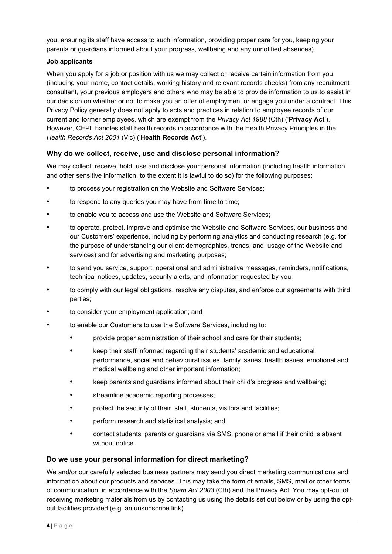you, ensuring its staff have access to such information, providing proper care for you, keeping your parents or guardians informed about your progress, wellbeing and any unnotified absences).

#### **Job applicants**

When you apply for a job or position with us we may collect or receive certain information from you (including your name, contact details, working history and relevant records checks) from any recruitment consultant, your previous employers and others who may be able to provide information to us to assist in our decision on whether or not to make you an offer of employment or engage you under a contract. This Privacy Policy generally does not apply to acts and practices in relation to employee records of our current and former employees, which are exempt from the *Privacy Act 1988* (Cth) ('**Privacy Act**'). However, CEPL handles staff health records in accordance with the Health Privacy Principles in the *Health Records Act 2001* (Vic) ('**Health Records Act**').

# **Why do we collect, receive, use and disclose personal information?**

We may collect, receive, hold, use and disclose your personal information (including health information and other sensitive information, to the extent it is lawful to do so) for the following purposes:

- to process your registration on the Website and Software Services;
- to respond to any queries you may have from time to time;
- to enable you to access and use the Website and Software Services;
- to operate, protect, improve and optimise the Website and Software Services, our business and our Customers' experience, including by performing analytics and conducting research (e.g. for the purpose of understanding our client demographics, trends, and usage of the Website and services) and for advertising and marketing purposes;
- to send you service, support, operational and administrative messages, reminders, notifications, technical notices, updates, security alerts, and information requested by you;
- to comply with our legal obligations, resolve any disputes, and enforce our agreements with third parties;
- to consider your employment application; and
- to enable our Customers to use the Software Services, including to:
	- provide proper administration of their school and care for their students;
	- keep their staff informed regarding their students' academic and educational performance, social and behavioural issues, family issues, health issues, emotional and medical wellbeing and other important information;
	- keep parents and guardians informed about their child's progress and wellbeing;
	- streamline academic reporting processes;
	- protect the security of their staff, students, visitors and facilities;
	- perform research and statistical analysis; and
	- contact students' parents or guardians via SMS, phone or email if their child is absent without notice.

#### **Do we use your personal information for direct marketing?**

We and/or our carefully selected business partners may send you direct marketing communications and information about our products and services. This may take the form of emails, SMS, mail or other forms of communication, in accordance with the *Spam Act 2003* (Cth) and the Privacy Act. You may opt-out of receiving marketing materials from us by contacting us using the details set out below or by using the optout facilities provided (e.g. an unsubscribe link).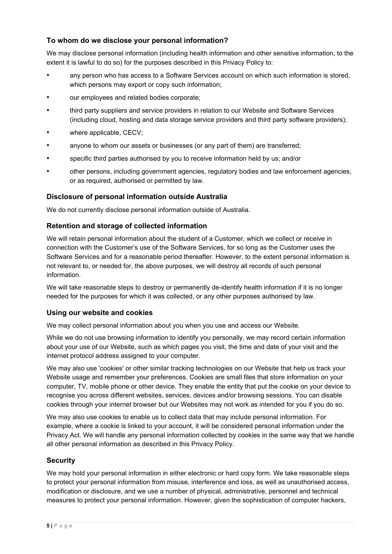# **To whom do we disclose your personal information?**

We may disclose personal information (including health information and other sensitive information, to the extent it is lawful to do so) for the purposes described in this Privacy Policy to:

- any person who has access to a Software Services account on which such information is stored, which persons may export or copy such information;
- our employees and related bodies corporate;
- third party suppliers and service providers in relation to our Website and Software Services (including cloud, hosting and data storage service providers and third party software providers);
- where applicable, CECV;
- anyone to whom our assets or businesses (or any part of them) are transferred;
- specific third parties authorised by you to receive information held by us; and/or
- other persons, including government agencies, regulatory bodies and law enforcement agencies, or as required, authorised or permitted by law.

#### **Disclosure of personal information outside Australia**

We do not currently disclose personal information outside of Australia.

#### **Retention and storage of collected information**

We will retain personal information about the student of a Customer, which we collect or receive in connection with the Customer's use of the Software Services, for so long as the Customer uses the Software Services and for a reasonable period thereafter. However, to the extent personal information is not relevant to, or needed for, the above purposes, we will destroy all records of such personal information.

We will take reasonable steps to destroy or permanently de-identify health information if it is no longer needed for the purposes for which it was collected, or any other purposes authorised by law.

#### **Using our website and cookies**

We may collect personal information about you when you use and access our Website.

While we do not use browsing information to identify you personally, we may record certain information about your use of our Website, such as which pages you visit, the time and date of your visit and the internet protocol address assigned to your computer.

We may also use 'cookies' or other similar tracking technologies on our Website that help us track your Website usage and remember your preferences. Cookies are small files that store information on your computer, TV, mobile phone or other device. They enable the entity that put the cookie on your device to recognise you across different websites, services, devices and/or browsing sessions. You can disable cookies through your internet browser but our Websites may not work as intended for you if you do so.

We may also use cookies to enable us to collect data that may include personal information. For example, where a cookie is linked to your account, it will be considered personal information under the Privacy Act. We will handle any personal information collected by cookies in the same way that we handle all other personal information as described in this Privacy Policy.

# **Security**

We may hold your personal information in either electronic or hard copy form. We take reasonable steps to protect your personal information from misuse, interference and loss, as well as unauthorised access, modification or disclosure, and we use a number of physical, administrative, personnel and technical measures to protect your personal information. However, given the sophistication of computer hackers,